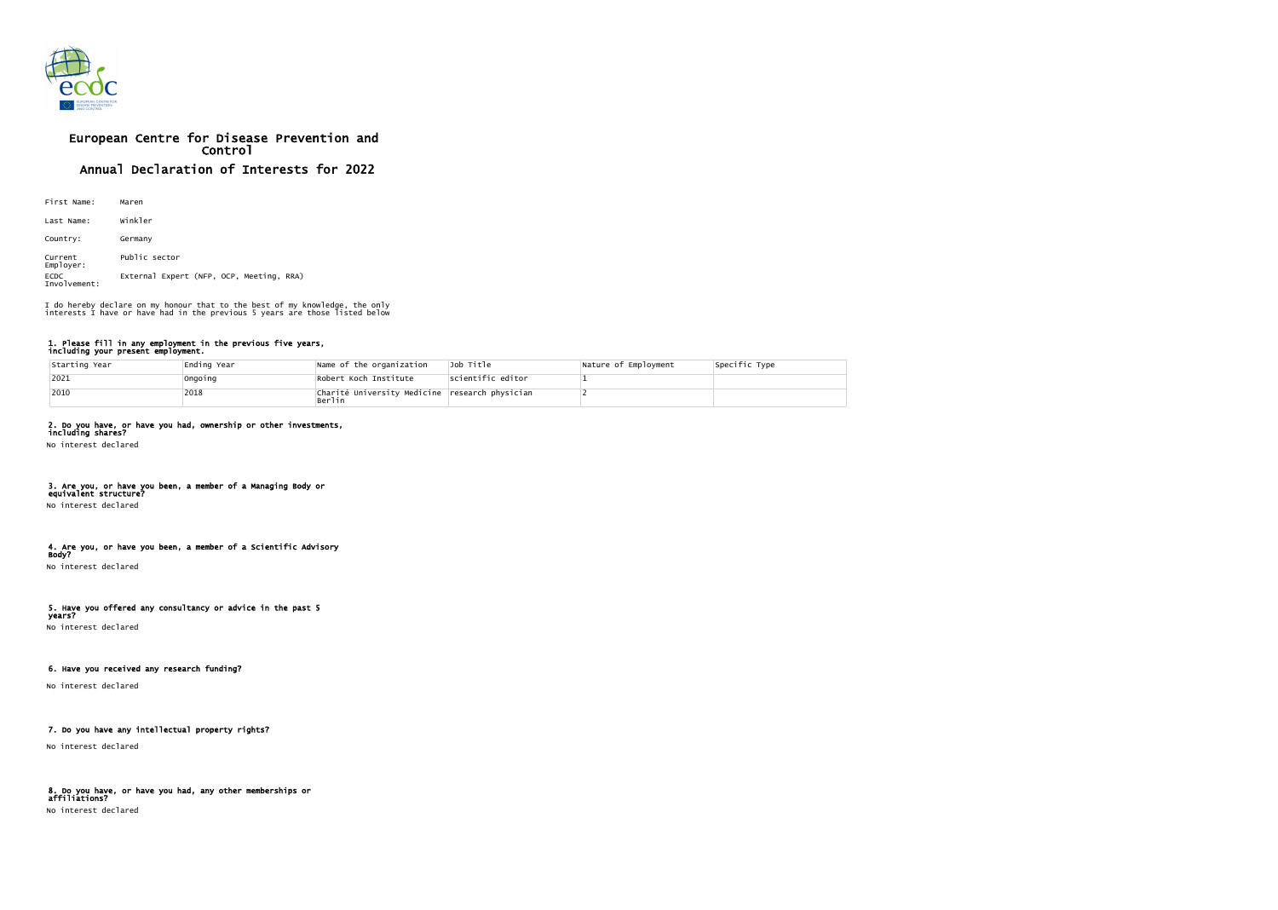

# European Centre for Disease Prevention and Control Annual Declaration of Interests for 2022

| First Name:                 | Maren                                    |
|-----------------------------|------------------------------------------|
| Last Name:                  | Winkler                                  |
| Country:                    | Germany                                  |
| Current<br>Employer:        | Public sector                            |
| <b>ECDC</b><br>Involvement: | External Expert (NFP, OCP, Meeting, RRA) |

#### 1. Please fill in any employment in the previous five years, including your present employment.

| Starting Year | ∣Ending Year | Name of the organization                                  | Job Title         | Nature of Employment | Specific Type |
|---------------|--------------|-----------------------------------------------------------|-------------------|----------------------|---------------|
| $ 2021$       | Ongoing      | Robert Koch Institute                                     | scientific editor |                      |               |
| $ 2010$       | 2018         | Charité University Medicine research physician<br> Berlin |                   |                      |               |

# 2. Do you have, or have you had, ownership or other investments,

including shares? No interest declared

#### 3. Are you, or have you been, a member of a Managing Body or equivalent structure?

No interest declared

#### 4. Are you, or have you been, a member of a Scientific Advisory Body?

No interest declared

# 5. Have you offered any consultancy or advice in the past 5

years? No interest declared

## 6. Have you received any research funding?

No interest declared

### 7. Do you have any intellectual property rights?

No interest declared

#### 8. Do you have, or have you had, any other memberships or affiliations? No interest declared

I do hereby declare on my honour that to the best of my knowledge, the only interests I have or have had in the previous 5 years are those listed below